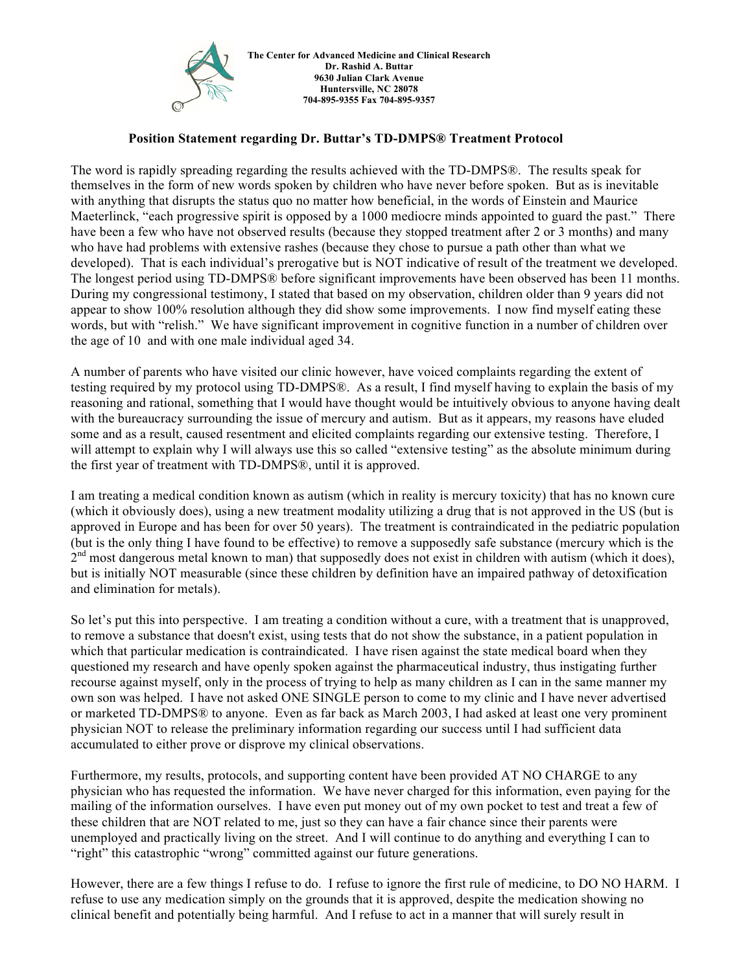

## **Position Statement regarding Dr. Buttar's TD-DMPS® Treatment Protocol**

The word is rapidly spreading regarding the results achieved with the TD-DMPS®. The results speak for themselves in the form of new words spoken by children who have never before spoken. But as is inevitable with anything that disrupts the status quo no matter how beneficial, in the words of Einstein and Maurice Maeterlinck, "each progressive spirit is opposed by a 1000 mediocre minds appointed to guard the past." There have been a few who have not observed results (because they stopped treatment after 2 or 3 months) and many who have had problems with extensive rashes (because they chose to pursue a path other than what we developed). That is each individual's prerogative but is NOT indicative of result of the treatment we developed. The longest period using TD-DMPS® before significant improvements have been observed has been 11 months. During my congressional testimony, I stated that based on my observation, children older than 9 years did not appear to show 100% resolution although they did show some improvements. I now find myself eating these words, but with "relish." We have significant improvement in cognitive function in a number of children over the age of 10 and with one male individual aged 34.

A number of parents who have visited our clinic however, have voiced complaints regarding the extent of testing required by my protocol using TD-DMPS®. As a result, I find myself having to explain the basis of my reasoning and rational, something that I would have thought would be intuitively obvious to anyone having dealt with the bureaucracy surrounding the issue of mercury and autism. But as it appears, my reasons have eluded some and as a result, caused resentment and elicited complaints regarding our extensive testing. Therefore, I will attempt to explain why I will always use this so called "extensive testing" as the absolute minimum during the first year of treatment with TD-DMPS®, until it is approved.

I am treating a medical condition known as autism (which in reality is mercury toxicity) that has no known cure (which it obviously does), using a new treatment modality utilizing a drug that is not approved in the US (but is approved in Europe and has been for over 50 years). The treatment is contraindicated in the pediatric population (but is the only thing I have found to be effective) to remove a supposedly safe substance (mercury which is the  $2<sup>nd</sup>$  most dangerous metal known to man) that supposedly does not exist in children with autism (which it does), but is initially NOT measurable (since these children by definition have an impaired pathway of detoxification and elimination for metals).

So let's put this into perspective. I am treating a condition without a cure, with a treatment that is unapproved, to remove a substance that doesn't exist, using tests that do not show the substance, in a patient population in which that particular medication is contraindicated. I have risen against the state medical board when they questioned my research and have openly spoken against the pharmaceutical industry, thus instigating further recourse against myself, only in the process of trying to help as many children as I can in the same manner my own son was helped. I have not asked ONE SINGLE person to come to my clinic and I have never advertised or marketed TD-DMPS® to anyone. Even as far back as March 2003, I had asked at least one very prominent physician NOT to release the preliminary information regarding our success until I had sufficient data accumulated to either prove or disprove my clinical observations.

Furthermore, my results, protocols, and supporting content have been provided AT NO CHARGE to any physician who has requested the information. We have never charged for this information, even paying for the mailing of the information ourselves. I have even put money out of my own pocket to test and treat a few of these children that are NOT related to me, just so they can have a fair chance since their parents were unemployed and practically living on the street. And I will continue to do anything and everything I can to "right" this catastrophic "wrong" committed against our future generations.

However, there are a few things I refuse to do. I refuse to ignore the first rule of medicine, to DO NO HARM. I refuse to use any medication simply on the grounds that it is approved, despite the medication showing no clinical benefit and potentially being harmful. And I refuse to act in a manner that will surely result in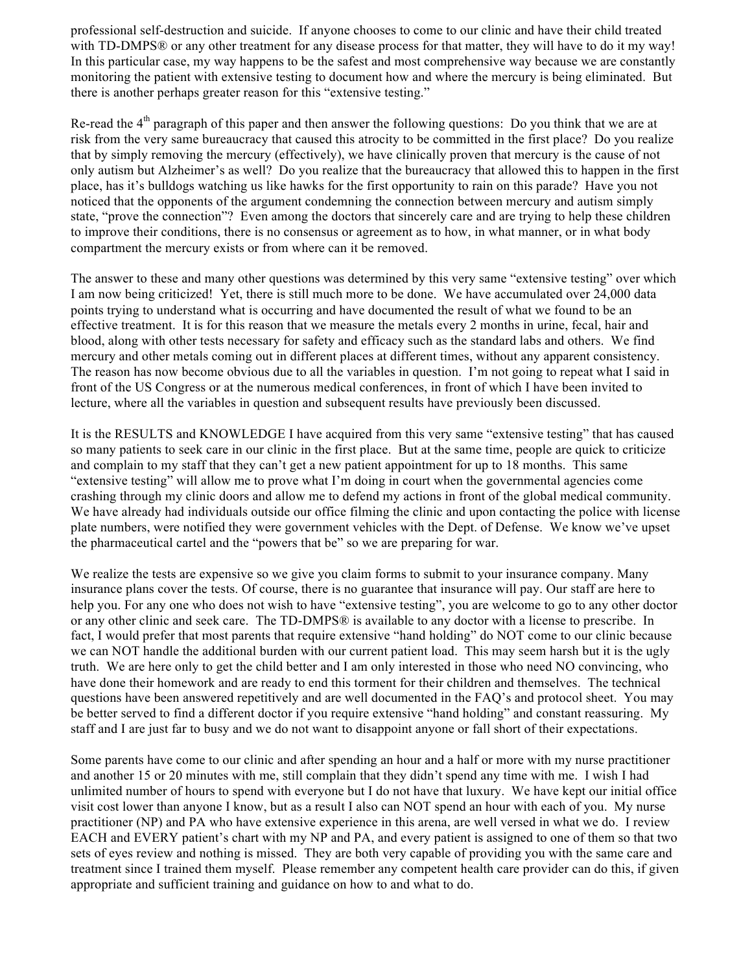professional self-destruction and suicide. If anyone chooses to come to our clinic and have their child treated with TD-DMPS® or any other treatment for any disease process for that matter, they will have to do it my way! In this particular case, my way happens to be the safest and most comprehensive way because we are constantly monitoring the patient with extensive testing to document how and where the mercury is being eliminated. But there is another perhaps greater reason for this "extensive testing."

Re-read the  $4<sup>th</sup>$  paragraph of this paper and then answer the following questions: Do you think that we are at risk from the very same bureaucracy that caused this atrocity to be committed in the first place? Do you realize that by simply removing the mercury (effectively), we have clinically proven that mercury is the cause of not only autism but Alzheimer's as well? Do you realize that the bureaucracy that allowed this to happen in the first place, has it's bulldogs watching us like hawks for the first opportunity to rain on this parade? Have you not noticed that the opponents of the argument condemning the connection between mercury and autism simply state, "prove the connection"? Even among the doctors that sincerely care and are trying to help these children to improve their conditions, there is no consensus or agreement as to how, in what manner, or in what body compartment the mercury exists or from where can it be removed.

The answer to these and many other questions was determined by this very same "extensive testing" over which I am now being criticized! Yet, there is still much more to be done. We have accumulated over 24,000 data points trying to understand what is occurring and have documented the result of what we found to be an effective treatment. It is for this reason that we measure the metals every 2 months in urine, fecal, hair and blood, along with other tests necessary for safety and efficacy such as the standard labs and others. We find mercury and other metals coming out in different places at different times, without any apparent consistency. The reason has now become obvious due to all the variables in question. I'm not going to repeat what I said in front of the US Congress or at the numerous medical conferences, in front of which I have been invited to lecture, where all the variables in question and subsequent results have previously been discussed.

It is the RESULTS and KNOWLEDGE I have acquired from this very same "extensive testing" that has caused so many patients to seek care in our clinic in the first place. But at the same time, people are quick to criticize and complain to my staff that they can't get a new patient appointment for up to 18 months. This same "extensive testing" will allow me to prove what I'm doing in court when the governmental agencies come crashing through my clinic doors and allow me to defend my actions in front of the global medical community. We have already had individuals outside our office filming the clinic and upon contacting the police with license plate numbers, were notified they were government vehicles with the Dept. of Defense. We know we've upset the pharmaceutical cartel and the "powers that be" so we are preparing for war.

We realize the tests are expensive so we give you claim forms to submit to your insurance company. Many insurance plans cover the tests. Of course, there is no guarantee that insurance will pay. Our staff are here to help you. For any one who does not wish to have "extensive testing", you are welcome to go to any other doctor or any other clinic and seek care. The TD-DMPS® is available to any doctor with a license to prescribe. In fact, I would prefer that most parents that require extensive "hand holding" do NOT come to our clinic because we can NOT handle the additional burden with our current patient load. This may seem harsh but it is the ugly truth. We are here only to get the child better and I am only interested in those who need NO convincing, who have done their homework and are ready to end this torment for their children and themselves. The technical questions have been answered repetitively and are well documented in the FAQ's and protocol sheet. You may be better served to find a different doctor if you require extensive "hand holding" and constant reassuring. My staff and I are just far to busy and we do not want to disappoint anyone or fall short of their expectations.

Some parents have come to our clinic and after spending an hour and a half or more with my nurse practitioner and another 15 or 20 minutes with me, still complain that they didn't spend any time with me. I wish I had unlimited number of hours to spend with everyone but I do not have that luxury. We have kept our initial office visit cost lower than anyone I know, but as a result I also can NOT spend an hour with each of you. My nurse practitioner (NP) and PA who have extensive experience in this arena, are well versed in what we do. I review EACH and EVERY patient's chart with my NP and PA, and every patient is assigned to one of them so that two sets of eyes review and nothing is missed. They are both very capable of providing you with the same care and treatment since I trained them myself. Please remember any competent health care provider can do this, if given appropriate and sufficient training and guidance on how to and what to do.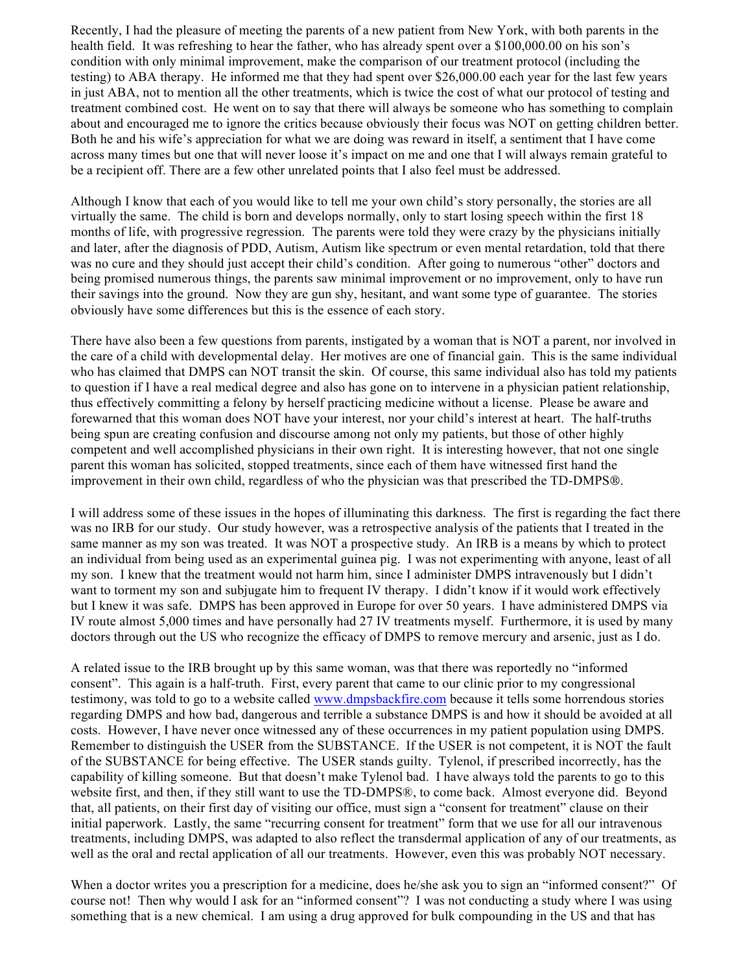Recently, I had the pleasure of meeting the parents of a new patient from New York, with both parents in the health field. It was refreshing to hear the father, who has already spent over a \$100,000.00 on his son's condition with only minimal improvement, make the comparison of our treatment protocol (including the testing) to ABA therapy. He informed me that they had spent over \$26,000.00 each year for the last few years in just ABA, not to mention all the other treatments, which is twice the cost of what our protocol of testing and treatment combined cost. He went on to say that there will always be someone who has something to complain about and encouraged me to ignore the critics because obviously their focus was NOT on getting children better. Both he and his wife's appreciation for what we are doing was reward in itself, a sentiment that I have come across many times but one that will never loose it's impact on me and one that I will always remain grateful to be a recipient off. There are a few other unrelated points that I also feel must be addressed.

Although I know that each of you would like to tell me your own child's story personally, the stories are all virtually the same. The child is born and develops normally, only to start losing speech within the first 18 months of life, with progressive regression. The parents were told they were crazy by the physicians initially and later, after the diagnosis of PDD, Autism, Autism like spectrum or even mental retardation, told that there was no cure and they should just accept their child's condition. After going to numerous "other" doctors and being promised numerous things, the parents saw minimal improvement or no improvement, only to have run their savings into the ground. Now they are gun shy, hesitant, and want some type of guarantee. The stories obviously have some differences but this is the essence of each story.

There have also been a few questions from parents, instigated by a woman that is NOT a parent, nor involved in the care of a child with developmental delay. Her motives are one of financial gain. This is the same individual who has claimed that DMPS can NOT transit the skin. Of course, this same individual also has told my patients to question if I have a real medical degree and also has gone on to intervene in a physician patient relationship, thus effectively committing a felony by herself practicing medicine without a license. Please be aware and forewarned that this woman does NOT have your interest, nor your child's interest at heart. The half-truths being spun are creating confusion and discourse among not only my patients, but those of other highly competent and well accomplished physicians in their own right. It is interesting however, that not one single parent this woman has solicited, stopped treatments, since each of them have witnessed first hand the improvement in their own child, regardless of who the physician was that prescribed the TD-DMPS<sup>®</sup>.

I will address some of these issues in the hopes of illuminating this darkness. The first is regarding the fact there was no IRB for our study. Our study however, was a retrospective analysis of the patients that I treated in the same manner as my son was treated. It was NOT a prospective study. An IRB is a means by which to protect an individual from being used as an experimental guinea pig. I was not experimenting with anyone, least of all my son. I knew that the treatment would not harm him, since I administer DMPS intravenously but I didn't want to torment my son and subjugate him to frequent IV therapy. I didn't know if it would work effectively but I knew it was safe. DMPS has been approved in Europe for over 50 years. I have administered DMPS via IV route almost 5,000 times and have personally had 27 IV treatments myself. Furthermore, it is used by many doctors through out the US who recognize the efficacy of DMPS to remove mercury and arsenic, just as I do.

A related issue to the IRB brought up by this same woman, was that there was reportedly no "informed consent". This again is a half-truth. First, every parent that came to our clinic prior to my congressional testimony, was told to go to a website called www.dmpsbackfire.com because it tells some horrendous stories regarding DMPS and how bad, dangerous and terrible a substance DMPS is and how it should be avoided at all costs. However, I have never once witnessed any of these occurrences in my patient population using DMPS. Remember to distinguish the USER from the SUBSTANCE. If the USER is not competent, it is NOT the fault of the SUBSTANCE for being effective. The USER stands guilty. Tylenol, if prescribed incorrectly, has the capability of killing someone. But that doesn't make Tylenol bad. I have always told the parents to go to this website first, and then, if they still want to use the TD-DMPS®, to come back. Almost everyone did. Beyond that, all patients, on their first day of visiting our office, must sign a "consent for treatment" clause on their initial paperwork. Lastly, the same "recurring consent for treatment" form that we use for all our intravenous treatments, including DMPS, was adapted to also reflect the transdermal application of any of our treatments, as well as the oral and rectal application of all our treatments. However, even this was probably NOT necessary.

When a doctor writes you a prescription for a medicine, does he/she ask you to sign an "informed consent?" Of course not! Then why would I ask for an "informed consent"? I was not conducting a study where I was using something that is a new chemical. I am using a drug approved for bulk compounding in the US and that has